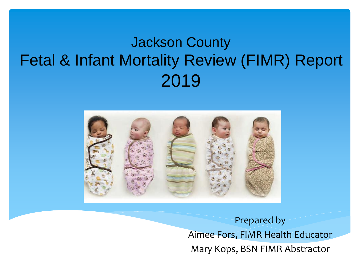### Jackson County Fetal & Infant Mortality Review (FIMR) Report 2019



Prepared by Aimee Fors, FIMR Health Educator Mary Kops, BSN FIMR Abstractor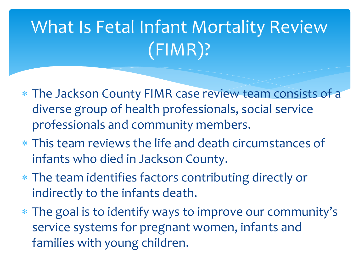## What Is Fetal Infant Mortality Review (FIMR)?

- The Jackson County FIMR case review team consists of a diverse group of health professionals, social service professionals and community members.
- This team reviews the life and death circumstances of infants who died in Jackson County.
- The team identifies factors contributing directly or indirectly to the infants death.
- The goal is to identify ways to improve our community's service systems for pregnant women, infants and families with young children.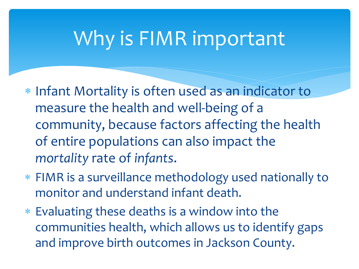### Why is FIMR important

- \* Infant Mortality is often used as an indicator to measure the health and well-being of a community, because factors affecting the health of entire populations can also impact the *mortality* rate of *infants*.
- FIMR is a surveillance methodology used nationally to monitor and understand infant death.
- Evaluating these deaths is a window into the communities health, which allows us to identify gaps and improve birth outcomes in Jackson County.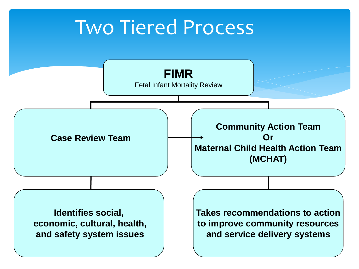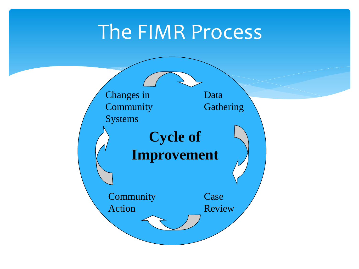### The FIMR Process

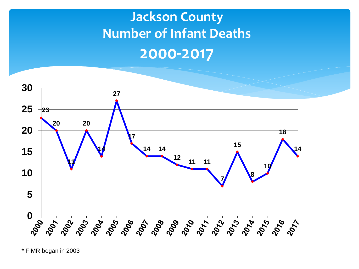#### **Jackson County Number of Infant Deaths 2000-2017**



\* FIMR began in 2003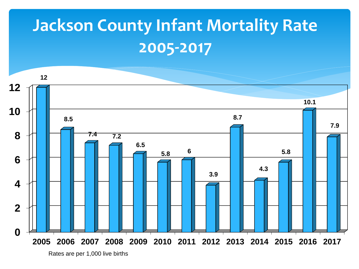### **Jackson County Infant Mortality Rate 2005-2017**



Rates are per 1,000 live births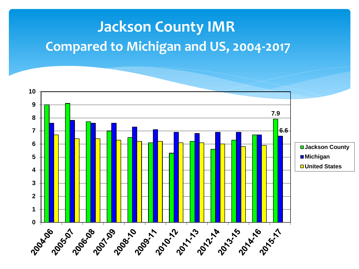#### **Jackson County IMR Compared to Michigan and US, 2004-2017**

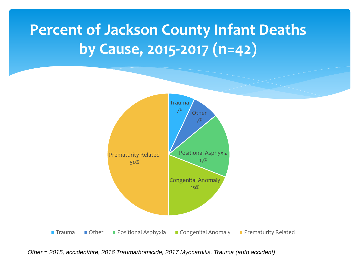### **Percent of Jackson County Infant Deaths by Cause, 2015-2017 (n=42)**



*Other = 2015, accident/fire, 2016 Trauma/homicide, 2017 Myocarditis, Trauma (auto accident)*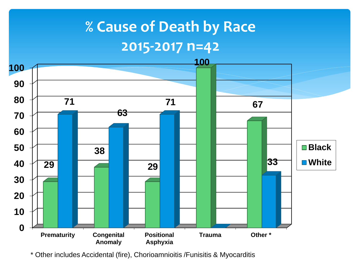### **% Cause of Death by Race 2015-2017 n=42**



\* Other includes Accidental (fire), Chorioamnioitis /Funisitis & Myocarditis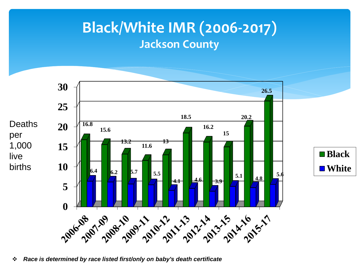#### **Black/White IMR (2006-2017) Jackson County**



*Race is determined by race listed first/only on baby's death certificate*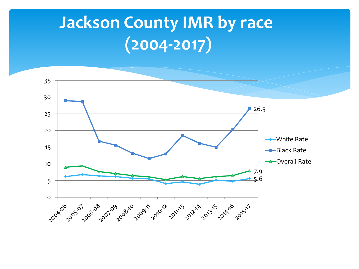### **Jackson County IMR by race (2004-2017)**

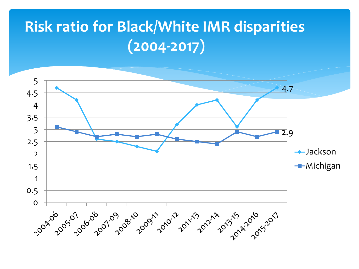### **Risk ratio for Black/White IMR disparities (2004-2017)**

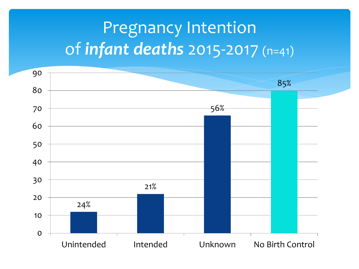### Pregnancy Intention of *infant deaths* 2015-2017 (n=41)

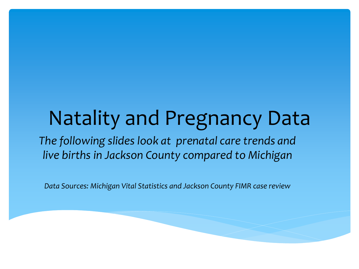### Natality and Pregnancy Data *The following slides look at prenatal care trends and live births in Jackson County compared to Michigan*

*Data Sources: Michigan Vital Statistics and Jackson County FIMR case review*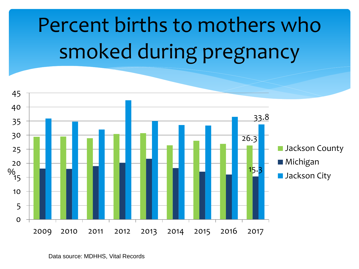# Percent births to mothers who smoked during pregnancy

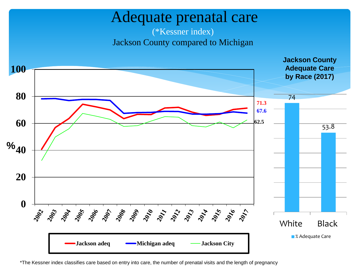#### Adequate prenatal care

#### (\*Kessner index) Jackson County compared to Michigan



\*The Kessner index classifies care based on entry into care, the number of prenatal visits and the length of pregnancy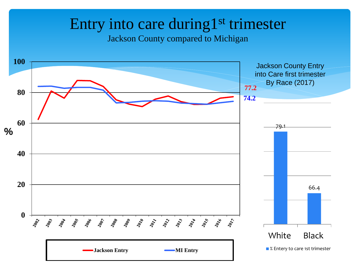#### Entry into care during1<sup>st</sup> trimester

Jackson County compared to Michigan

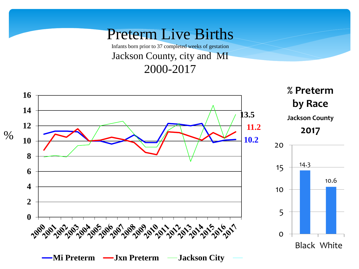Preterm Live Births Infants born prior to 37 completed weeks of gestation Jackson County, city and MI 2000-2017

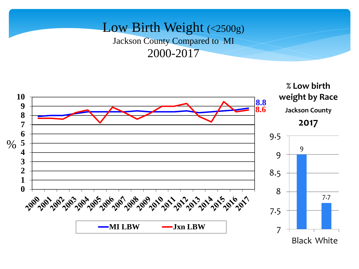#### Low Birth Weight (<2500g) Jackson County Compared to MI 2000-2017

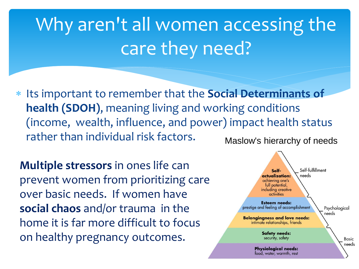# Why aren't all women accessing the care they need?

 Its important to remember that the **Social Determinants of health (SDOH)**, meaning living and working conditions (income, wealth, influence, and power) impact health status rather than individual risk factors. Maslow's hierarchy of needs

**Multiple stressors** in ones life can prevent women from prioritizing car[e](https://www.google.com/url?sa=i&rct=j&q=&esrc=s&source=imgres&cd=&cad=rja&uact=8&ved=2ahUKEwjHm4Ww9unaAhVP-mMKHaNlBssQjRx6BAgBEAU&url=https://www.simplypsychology.org/maslow.html&psig=AOvVaw3vyoTo27zFxsq4gpZvxJU5&ust=1525450040439317)  over basic needs. If women have **social chaos** and/or trauma in the home it is far more difficult to focus on healthy pregnancy outcomes.

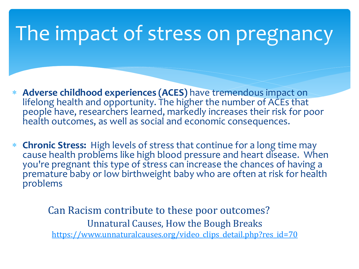### The impact of stress on pregnancy

- **Adverse childhood experiences (ACES)** have tremendous impact on lifelong health and opportunity. The higher the number of ACEs that people have, researchers learned, markedly increases their risk for poor health outcomes, as well as social and economic consequences.
- **Chronic Stress:** High levels of stress that continue for a long time may cause health problems like high blood pressure and heart disease. When you're pregnant this type of stress can increase the chances of having a premature baby or low birthweight baby who are often at risk for health problems

Can Racism contribute to these poor outcomes? Unnatural Causes, How the Bough Breaks [https://www.unnaturalcauses.org/video\\_clips\\_detail.php?res\\_id=70](https://www.unnaturalcauses.org/video_clips_detail.php?res_id=70)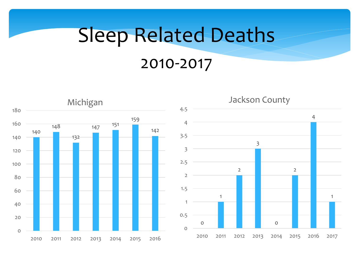# Sleep Related Deaths 2010-2017

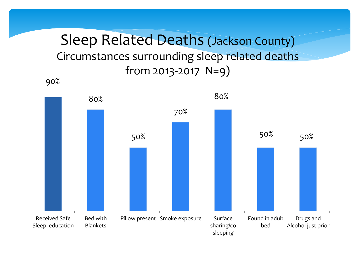Sleep Related Deaths (Jackson County) Circumstances surrounding sleep related deaths from 2013-2017  $N=9$ )

90%

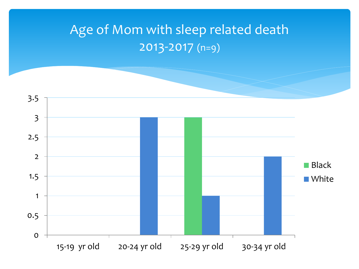#### Age of Mom with sleep related death 2013-2017 (n=9)

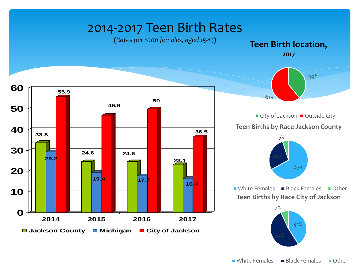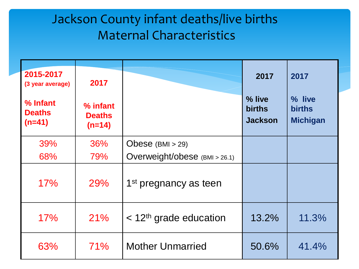#### Jackson County infant deaths/live births Maternal Characteristics

| 2015-2017<br>(3 year average)         | 2017                                  |                                      | 2017                                      | 2017                                       |
|---------------------------------------|---------------------------------------|--------------------------------------|-------------------------------------------|--------------------------------------------|
| % Infant<br><b>Deaths</b><br>$(n=41)$ | % infant<br><b>Deaths</b><br>$(n=14)$ |                                      | % live<br><b>births</b><br><b>Jackson</b> | % live<br><b>births</b><br><b>Michigan</b> |
| 39%                                   | 36%                                   | Obese $(BMI > 29)$                   |                                           |                                            |
| 68%                                   | 79%                                   | Overweight/obese (BMI > 26.1)        |                                           |                                            |
| 17%                                   | 29%                                   | 1 <sup>st</sup> pregnancy as teen    |                                           |                                            |
| 17%                                   | 21%                                   | $<$ 12 <sup>th</sup> grade education | 13.2%                                     | 11.3%                                      |
| 63%                                   | 71%                                   | <b>Mother Unmarried</b>              | 50.6%                                     | 41.4%                                      |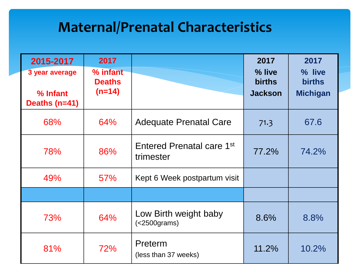#### **Maternal/Prenatal Characteristics**

| 2015-2017                                   | 2017                                  |                                                    | 2017                                      | 2017                                       |
|---------------------------------------------|---------------------------------------|----------------------------------------------------|-------------------------------------------|--------------------------------------------|
| 3 year average<br>% Infant<br>Deaths (n=41) | % infant<br><b>Deaths</b><br>$(n=14)$ |                                                    | % live<br><b>births</b><br><b>Jackson</b> | % live<br><b>births</b><br><b>Michigan</b> |
| 68%                                         | 64%                                   | <b>Adequate Prenatal Care</b>                      | 71.3                                      | 67.6                                       |
| 78%                                         | 86%                                   | Entered Prenatal care 1 <sup>st</sup><br>trimester | 77.2%                                     | 74.2%                                      |
| 49%                                         | <b>57%</b>                            | Kept 6 Week postpartum visit                       |                                           |                                            |
|                                             |                                       |                                                    |                                           |                                            |
| 73%                                         | 64%                                   | Low Birth weight baby<br>$(<2500$ grams)           | 8.6%                                      | 8.8%                                       |
| 81%                                         | 72%                                   | Preterm<br>(less than 37 weeks)                    | 11.2%                                     | 10.2%                                      |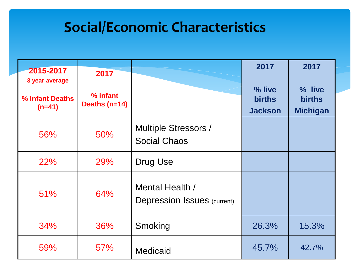#### **Social/Economic Characteristics**

| 2015-2017<br>3 year average | 2017                      |                                                       | 2017                                      | 2017                                       |
|-----------------------------|---------------------------|-------------------------------------------------------|-------------------------------------------|--------------------------------------------|
| % Infant Deaths<br>$(n=41)$ | % infant<br>Deaths (n=14) |                                                       | % live<br><b>births</b><br><b>Jackson</b> | % live<br><b>births</b><br><b>Michigan</b> |
| 56%                         | 50%                       | <b>Multiple Stressors /</b><br><b>Social Chaos</b>    |                                           |                                            |
| <b>22%</b>                  | 29%                       | Drug Use                                              |                                           |                                            |
| 51%                         | 64%                       | Mental Health /<br><b>Depression Issues (current)</b> |                                           |                                            |
| 34%                         | 36%                       | Smoking                                               | 26.3%                                     | 15.3%                                      |
| 59%                         | <b>57%</b>                | <b>Medicaid</b>                                       | 45.7%                                     | 42.7%                                      |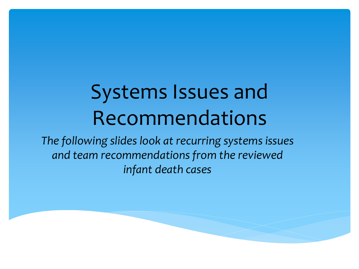# Systems Issues and Recommendations

*The following slides look at recurring systems issues and team recommendations from the reviewed infant death cases*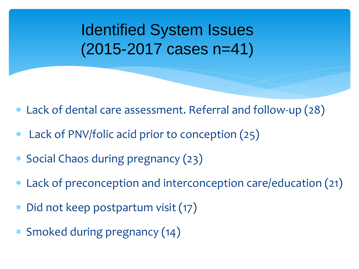Identified System Issues (2015-2017 cases n=41)

- Lack of dental care assessment. Referral and follow-up (28)
- Lack of PNV/folic acid prior to conception (25)
- \* Social Chaos during pregnancy (23)
- Lack of preconception and interconception care/education (21)
- Did not keep postpartum visit (17)
- Smoked during pregnancy (14)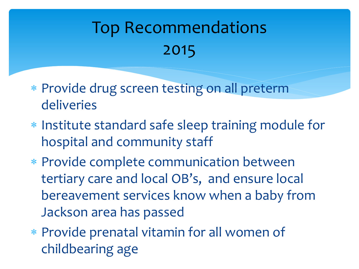## Top Recommendations 2015

- Provide drug screen testing on all preterm deliveries
- \* Institute standard safe sleep training module for hospital and community staff
- Provide complete communication between tertiary care and local OB's, and ensure local bereavement services know when a baby from Jackson area has passed
- Provide prenatal vitamin for all women of childbearing age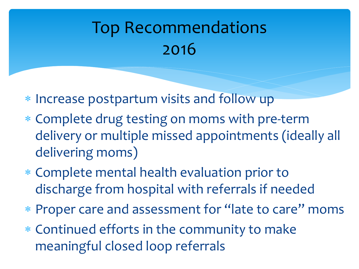### Top Recommendations 2016

- \* Increase postpartum visits and follow up
- Complete drug testing on moms with pre-term delivery or multiple missed appointments (ideally all delivering moms)
- Complete mental health evaluation prior to discharge from hospital with referrals if needed
- Proper care and assessment for "late to care" moms
- Continued efforts in the community to make meaningful closed loop referrals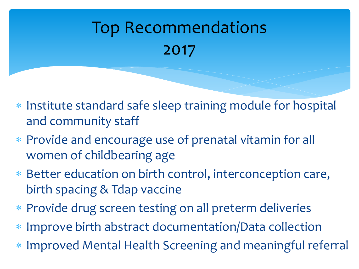## Top Recommendations 2017

- \* Institute standard safe sleep training module for hospital and community staff
- Provide and encourage use of prenatal vitamin for all women of childbearing age
- Better education on birth control, interconception care, birth spacing & Tdap vaccine
- Provide drug screen testing on all preterm deliveries
- Improve birth abstract documentation/Data collection
- Improved Mental Health Screening and meaningful referral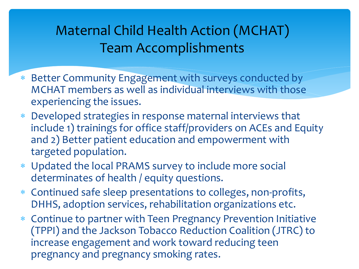#### Maternal Child Health Action (MCHAT) Team Accomplishments

- Better Community Engagement with surveys conducted by MCHAT members as well as individual interviews with those experiencing the issues.
- Developed strategies in response maternal interviews that include 1) trainings for office staff/providers on ACEs and Equity and 2) Better patient education and empowerment with targeted population.
- Updated the local PRAMS survey to include more social determinates of health / equity questions.
- Continued safe sleep presentations to colleges, non-profits, DHHS, adoption services, rehabilitation organizations etc.
- Continue to partner with Teen Pregnancy Prevention Initiative (TPPI) and the Jackson Tobacco Reduction Coalition (JTRC) to increase engagement and work toward reducing teen pregnancy and pregnancy smoking rates.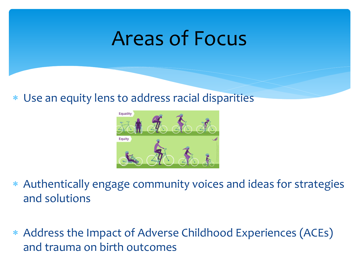### Areas of Focus

Use an equity lens to address racial disparities



- Authentically engage community voices and ideas for strategies and solutions
- Address the Impact of Adverse Childhood Experiences (ACEs) and trauma on birth outcomes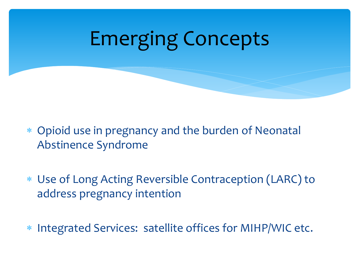# Emerging Concepts

- Opioid use in pregnancy and the burden of Neonatal Abstinence Syndrome
- Use of Long Acting Reversible Contraception (LARC) to address pregnancy intention
- \* Integrated Services: satellite offices for MIHP/WIC etc.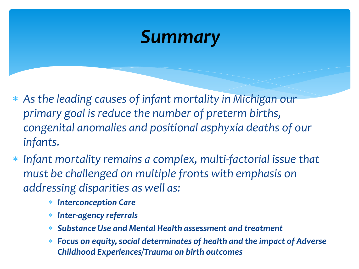### *Summary*

- *As the leading causes of infant mortality in Michigan our primary goal is reduce the number of preterm births, congenital anomalies and positional asphyxia deaths of our infants.*
- *Infant mortality remains a complex, multi-factorial issue that must be challenged on multiple fronts with emphasis on addressing disparities as well as:*
	- *Interconception Care*
	- *Inter-agency referrals*
	- *Substance Use and Mental Health assessment and treatment*
	- *Focus on equity, social determinates of health and the impact of Adverse Childhood Experiences/Trauma on birth outcomes*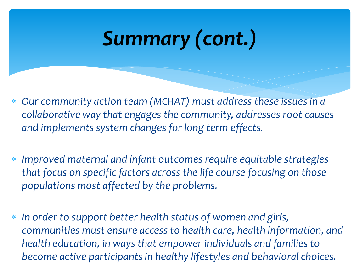# *Summary (cont.)*

- *Our community action team (MCHAT) must address these issues in a collaborative way that engages the community, addresses root causes and implements system changes for long term effects.*
- *Improved maternal and infant outcomes require equitable strategies that focus on specific factors across the life course focusing on those populations most affected by the problems.*
- *In order to support better health status of women and girls, communities must ensure access to health care, health information, and health education, in ways that empower individuals and families to become active participants in healthy lifestyles and behavioral choices.*